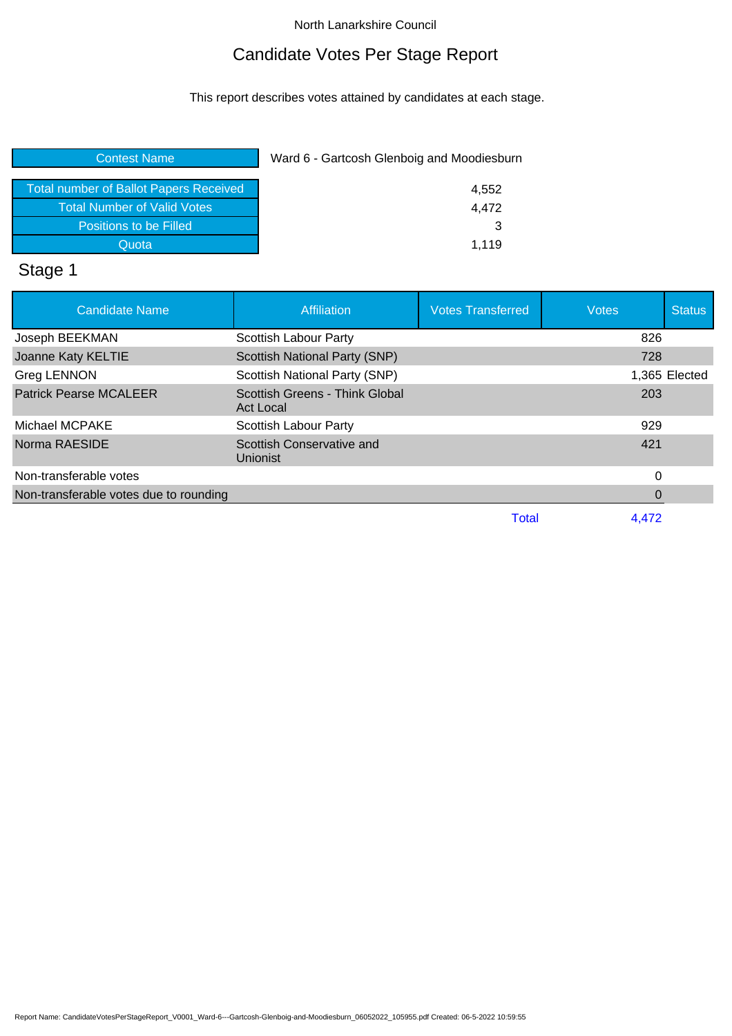# Candidate Votes Per Stage Report

This report describes votes attained by candidates at each stage.

| <b>Contest Name</b>                           | Ward 6 - Gartcosh Glenboig and Moodiesburn |
|-----------------------------------------------|--------------------------------------------|
| <b>Total number of Ballot Papers Received</b> | 4,552                                      |
| <b>Total Number of Valid Votes</b>            | 4,472                                      |
| Positions to be Filled                        | 3                                          |
| Quota                                         | 1.119                                      |
| $\sim$ $\sim$                                 |                                            |

#### Stage 1

| <b>Candidate Name</b>                  | <b>Affiliation</b>                                 | <b>Votes Transferred</b> | <b>Votes</b> | <b>Status</b> |
|----------------------------------------|----------------------------------------------------|--------------------------|--------------|---------------|
| Joseph BEEKMAN                         | Scottish Labour Party                              |                          | 826          |               |
| Joanne Katy KELTIE                     | Scottish National Party (SNP)                      |                          | 728          |               |
| <b>Greg LENNON</b>                     | Scottish National Party (SNP)                      |                          |              | 1,365 Elected |
| <b>Patrick Pearse MCALEER</b>          | Scottish Greens - Think Global<br><b>Act Local</b> |                          | 203          |               |
| Michael MCPAKE                         | Scottish Labour Party                              |                          | 929          |               |
| Norma RAESIDE                          | Scottish Conservative and<br><b>Unionist</b>       |                          | 421          |               |
| Non-transferable votes                 |                                                    |                          | 0            |               |
| Non-transferable votes due to rounding |                                                    |                          | 0            |               |
|                                        |                                                    | Total                    | 4,472        |               |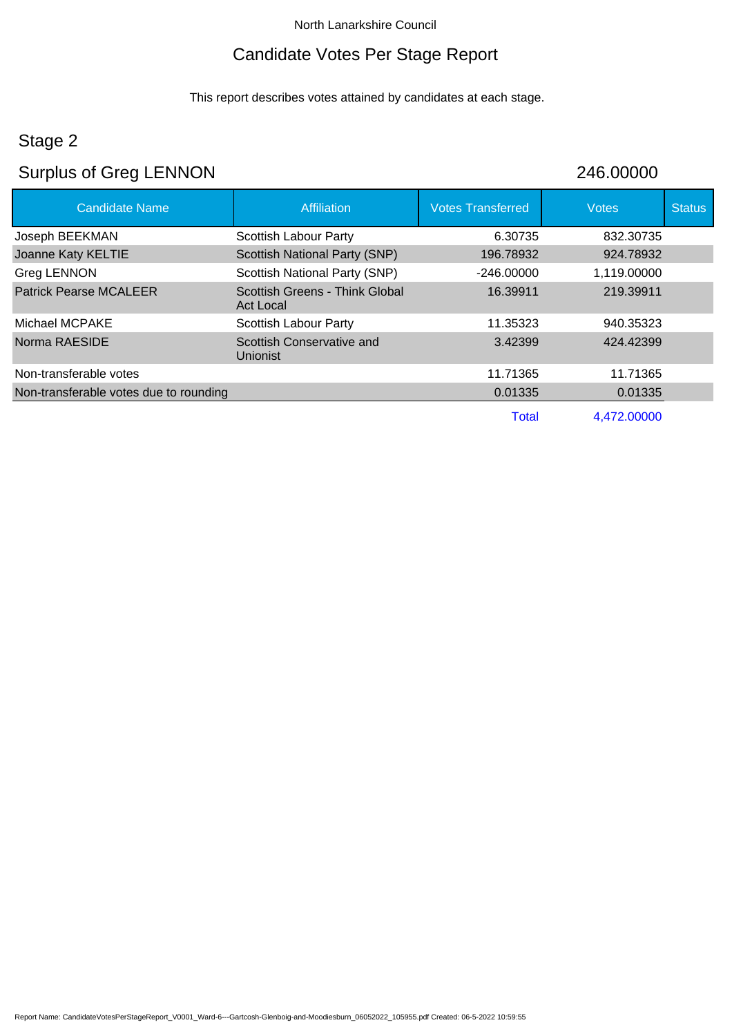# Candidate Votes Per Stage Report

This report describes votes attained by candidates at each stage.

# Stage 2

# Surplus of Greg LENNON 246.00000

| <b>Candidate Name</b>                  | Affiliation                                  | <b>Votes Transferred</b> | <b>Votes</b> | <b>Status</b> |
|----------------------------------------|----------------------------------------------|--------------------------|--------------|---------------|
| Joseph BEEKMAN                         | <b>Scottish Labour Party</b>                 | 6.30735                  | 832.30735    |               |
| Joanne Katy KELTIE                     | Scottish National Party (SNP)                | 196.78932                | 924.78932    |               |
| Greg LENNON                            | Scottish National Party (SNP)                | $-246.00000$             | 1,119.00000  |               |
| <b>Patrick Pearse MCALEER</b>          | Scottish Greens - Think Global<br>Act Local  | 16.39911                 | 219.39911    |               |
| Michael MCPAKE                         | <b>Scottish Labour Party</b>                 | 11.35323                 | 940.35323    |               |
| Norma RAESIDE                          | Scottish Conservative and<br><b>Unionist</b> | 3.42399                  | 424.42399    |               |
| Non-transferable votes                 |                                              | 11.71365                 | 11.71365     |               |
| Non-transferable votes due to rounding |                                              | 0.01335                  | 0.01335      |               |
|                                        |                                              | <b>Total</b>             | 4,472.00000  |               |

Report Name: CandidateVotesPerStageReport\_V0001\_Ward-6---Gartcosh-Glenboig-and-Moodiesburn\_06052022\_105955.pdf Created: 06-5-2022 10:59:55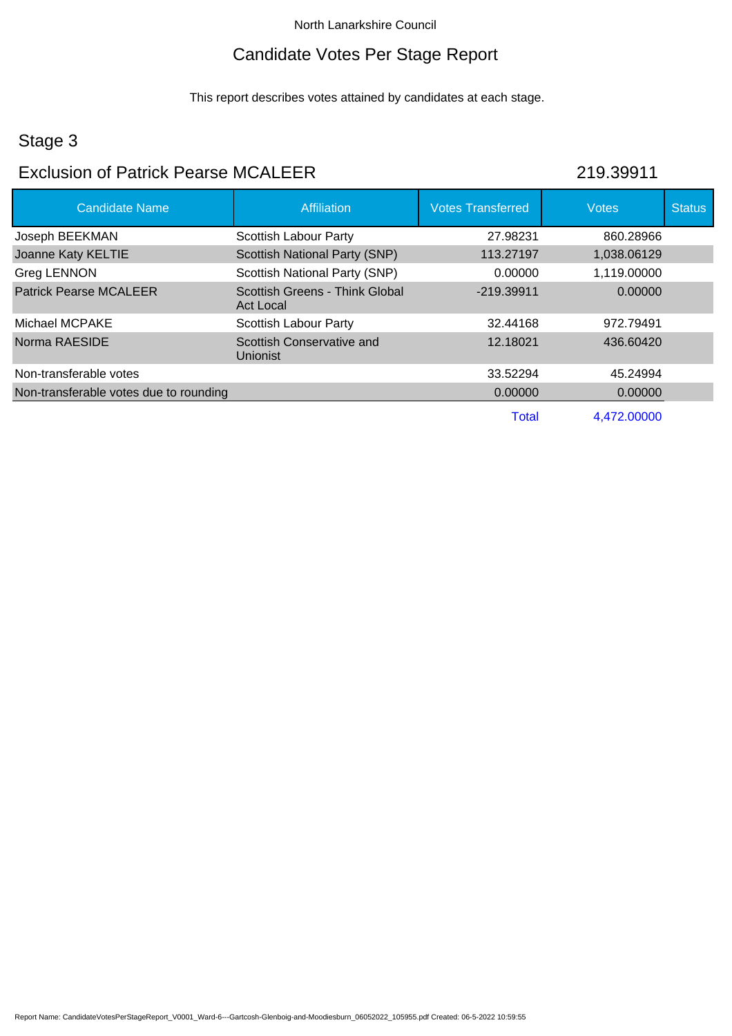## Candidate Votes Per Stage Report

This report describes votes attained by candidates at each stage.

# Stage 3

## Exclusion of Patrick Pearse MCALEER 219.39911

| <b>Candidate Name</b>                  | Affiliation                                  | <b>Votes Transferred</b> | <b>Votes</b> | <b>Status</b> |
|----------------------------------------|----------------------------------------------|--------------------------|--------------|---------------|
| Joseph BEEKMAN                         | <b>Scottish Labour Party</b>                 | 27.98231                 | 860.28966    |               |
| Joanne Katy KELTIE                     | <b>Scottish National Party (SNP)</b>         | 113.27197                | 1,038.06129  |               |
| <b>Greg LENNON</b>                     | Scottish National Party (SNP)                | 0.00000                  | 1,119.00000  |               |
| <b>Patrick Pearse MCALEER</b>          | Scottish Greens - Think Global<br>Act Local  | $-219.39911$             | 0.00000      |               |
| Michael MCPAKE                         | Scottish Labour Party                        | 32.44168                 | 972.79491    |               |
| Norma RAESIDE                          | Scottish Conservative and<br><b>Unionist</b> | 12.18021                 | 436.60420    |               |
| Non-transferable votes                 |                                              | 33.52294                 | 45.24994     |               |
| Non-transferable votes due to rounding |                                              | 0.00000                  | 0.00000      |               |
|                                        |                                              | Total                    | 4.472.00000  |               |

Report Name: CandidateVotesPerStageReport\_V0001\_Ward-6---Gartcosh-Glenboig-and-Moodiesburn\_06052022\_105955.pdf Created: 06-5-2022 10:59:55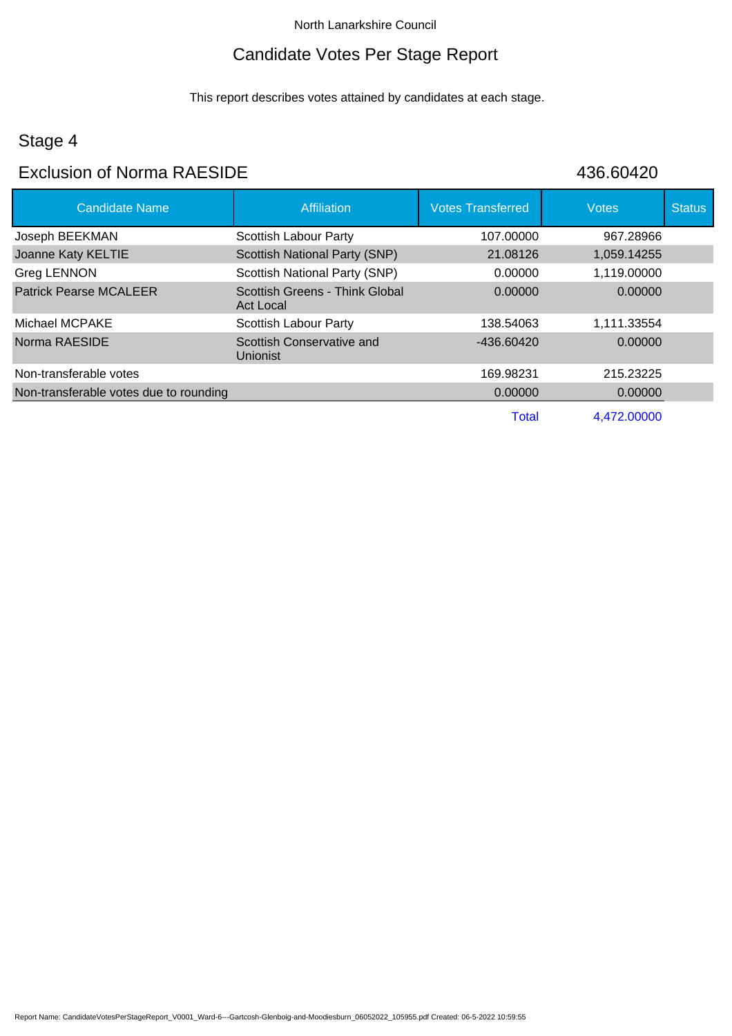## Candidate Votes Per Stage Report

This report describes votes attained by candidates at each stage.

# Stage 4

## Exclusion of Norma RAESIDE 436.60420

| <b>Candidate Name</b>                  | Affiliation                                        | <b>Votes Transferred</b> | <b>Votes</b> | <b>Status</b> |
|----------------------------------------|----------------------------------------------------|--------------------------|--------------|---------------|
| Joseph BEEKMAN                         | Scottish Labour Party                              | 107.00000                | 967.28966    |               |
| Joanne Katy KELTIE                     | Scottish National Party (SNP)                      | 21.08126                 | 1,059.14255  |               |
| Greg LENNON                            | Scottish National Party (SNP)                      | 0.00000                  | 1,119.00000  |               |
| <b>Patrick Pearse MCALEER</b>          | Scottish Greens - Think Global<br><b>Act Local</b> | 0.00000                  | 0.00000      |               |
| Michael MCPAKE                         | <b>Scottish Labour Party</b>                       | 138.54063                | 1,111.33554  |               |
| Norma RAESIDE                          | Scottish Conservative and<br>Unionist              | $-436.60420$             | 0.00000      |               |
| Non-transferable votes                 |                                                    | 169.98231                | 215.23225    |               |
| Non-transferable votes due to rounding |                                                    | 0.00000                  | 0.00000      |               |
|                                        |                                                    | <b>Total</b>             | 4.472.00000  |               |